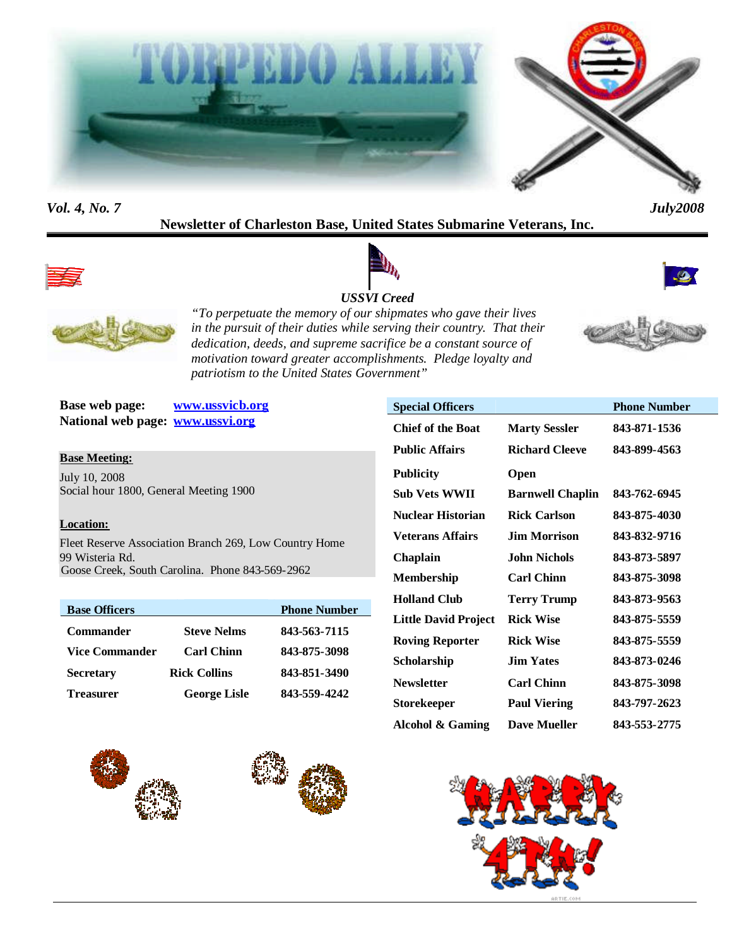

## *Vol. 4, No. 7 July2008*

# **Newsletter of Charleston Base, United States Submarine Veterans, Inc.**





## *USSVI Creed*





*"To perpetuate the memory of our shipmates who gave their lives in the pursuit of their duties while serving their country. That their dedication, deeds, and supreme sacrifice be a constant source of motivation toward greater accomplishments. Pledge loyalty and patriotism to the United States Government"*

**Base web page: www.ussvicb.org National web page: www.ussvi.org**

**Base Meeting:**

July 10, 2008 Social hour 1800, General Meeting 1900

#### **Location:**

Fleet Reserve Association Branch 269, Low Country Home 99 Wisteria Rd. Goose Creek, South Carolina. Phone 843-569-2962

| <b>Base Officers</b>  |                     | <b>Phone Number</b> |
|-----------------------|---------------------|---------------------|
| <b>Commander</b>      | <b>Steve Nelms</b>  | 843-563-7115        |
| <b>Vice Commander</b> | <b>Carl Chinn</b>   | 843-875-3098        |
| <b>Secretary</b>      | <b>Rick Collins</b> | 843-851-3490        |
| <b>Treasurer</b>      | <b>George Lisle</b> | 843-559-4242        |





| <b>Special Officers</b>     |                         | <b>Phone Number</b> |
|-----------------------------|-------------------------|---------------------|
| <b>Chief of the Boat</b>    | <b>Marty Sessler</b>    | 843-871-1536        |
| <b>Public Affairs</b>       | <b>Richard Cleeve</b>   | 843-899-4563        |
| <b>Publicity</b>            | Open                    |                     |
| <b>Sub Vets WWII</b>        | <b>Barnwell Chaplin</b> | 843-762-6945        |
| <b>Nuclear Historian</b>    | <b>Rick Carlson</b>     | 843-875-4030        |
| <b>Veterans Affairs</b>     | Jim Morrison            | 843-832-9716        |
| Chaplain                    | John Nichols.           | 843-873-5897        |
| <b>Membership</b>           | <b>Carl Chinn</b>       | 843-875-3098        |
| <b>Holland Club</b>         | <b>Terry Trump</b>      | 843-873-9563        |
| <b>Little David Project</b> | <b>Rick Wise</b>        | 843-875-5559        |
| <b>Roving Reporter</b>      | <b>Rick Wise</b>        | 843-875-5559        |
| Scholarship                 | <b>Jim Yates</b>        | 843-873-0246        |
| <b>Newsletter</b>           | <b>Carl Chinn</b>       | 843-875-3098        |
| Storekeeper                 | <b>Paul Viering</b>     | 843-797-2623        |
| <b>Alcohol &amp; Gaming</b> | <b>Dave Mueller</b>     | 843-553-2775        |

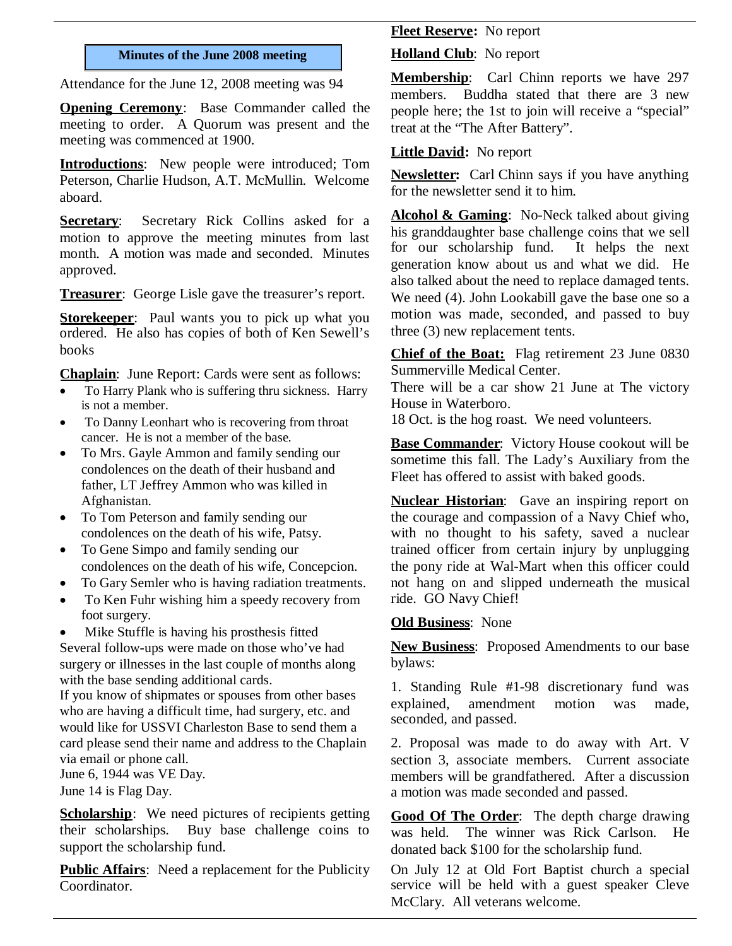#### **Minutes of the June 2008 meeting**

Attendance for the June 12, 2008 meeting was 94

**Opening Ceremony**: Base Commander called the meeting to order. A Quorum was present and the meeting was commenced at 1900.

**Introductions**: New people were introduced; Tom Peterson, Charlie Hudson, A.T. McMullin. Welcome aboard.

**Secretary:** Secretary Rick Collins asked for a motion to approve the meeting minutes from last month. A motion was made and seconded. Minutes approved.

**Treasurer**: George Lisle gave the treasurer's report.

**Storekeeper**: Paul wants you to pick up what you ordered. He also has copies of both of Ken Sewell's books

**Chaplain**: June Report: Cards were sent as follows:

- To Harry Plank who is suffering thru sickness. Harry is not a member.
- To Danny Leonhart who is recovering from throat cancer. He is not a member of the base.
- To Mrs. Gayle Ammon and family sending our condolences on the death of their husband and father, LT Jeffrey Ammon who was killed in Afghanistan.
- To Tom Peterson and family sending our condolences on the death of his wife, Patsy.
- To Gene Simpo and family sending our condolences on the death of his wife, Concepcion.
- To Gary Semler who is having radiation treatments.
- To Ken Fuhr wishing him a speedy recovery from foot surgery.

 Mike Stuffle is having his prosthesis fitted Several follow-ups were made on those who've had surgery or illnesses in the last couple of months along with the base sending additional cards.

If you know of shipmates or spouses from other bases who are having a difficult time, had surgery, etc. and would like for USSVI Charleston Base to send them a card please send their name and address to the Chaplain via email or phone call.

June 6, 1944 was VE Day.

June 14 is Flag Day.

**Scholarship**: We need pictures of recipients getting their scholarships. Buy base challenge coins to Buy base challenge coins to support the scholarship fund.

**Public Affairs**: Need a replacement for the Publicity Coordinator.

#### **Fleet Reserve:** No report

**Holland Club**: No report

**Membership**: Carl Chinn reports we have 297 members. Buddha stated that there are 3 new people here; the 1st to join will receive a "special" treat at the "The After Battery".

## **Little David:** No report

**Newsletter:** Carl Chinn says if you have anything for the newsletter send it to him.

**Alcohol & Gaming**: No-Neck talked about giving his granddaughter base challenge coins that we sell for our scholarship fund. It helps the next generation know about us and what we did. He also talked about the need to replace damaged tents. We need (4). John Lookabill gave the base one so a motion was made, seconded, and passed to buy three (3) new replacement tents.

**Chief of the Boat:** Flag retirement 23 June 0830 Summerville Medical Center.

There will be a car show 21 June at The victory House in Waterboro.

18 Oct. is the hog roast. We need volunteers.

**Base Commander**: Victory House cookout will be sometime this fall. The Lady's Auxiliary from the Fleet has offered to assist with baked goods.

**Nuclear Historian**: Gave an inspiring report on the courage and compassion of a Navy Chief who, with no thought to his safety, saved a nuclear trained officer from certain injury by unplugging the pony ride at Wal-Mart when this officer could not hang on and slipped underneath the musical ride. GO Navy Chief!

### **Old Business**: None

**New Business**: Proposed Amendments to our base bylaws:

1. Standing Rule #1-98 discretionary fund was explained, amendment motion was made, seconded, and passed.

2. Proposal was made to do away with Art. V section 3, associate members. Current associate members will be grandfathered. After a discussion a motion was made seconded and passed.

**Good Of The Order**: The depth charge drawing was held. The winner was Rick Carlson. He donated back \$100 for the scholarship fund.

On July 12 at Old Fort Baptist church a special service will be held with a guest speaker Cleve McClary. All veterans welcome.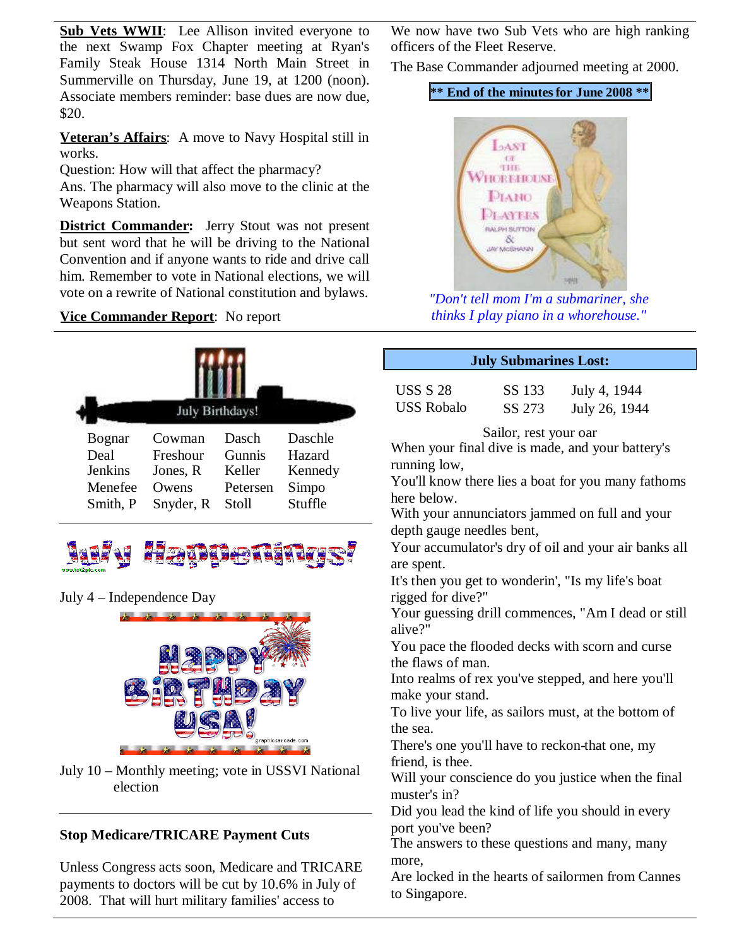**Sub Vets WWII**: Lee Allison invited everyone to the next Swamp Fox Chapter meeting at Ryan's Family Steak House 1314 North Main Street in Summerville on Thursday, June 19, at 1200 (noon). Associate members reminder: base dues are now due, \$20.

**Veteran's Affairs**: A move to Navy Hospital still in works.

Question: How will that affect the pharmacy? Ans. The pharmacy will also move to the clinic at the Weapons Station.

**District Commander:** Jerry Stout was not present but sent word that he will be driving to the National Convention and if anyone wants to ride and drive call him. Remember to vote in National elections, we will vote on a rewrite of National constitution and bylaws.

# **Vice Commander Report**: No report





# July 4 – Independence Day



July 10 – Monthly meeting; vote in USSVI National election

# **Stop Medicare/TRICARE Payment Cuts**

Unless Congress acts soon, Medicare and TRICARE payments to doctors will be cut by 10.6% in July of 2008. That will hurt military families' access to

We now have two Sub Vets who are high ranking officers of the Fleet Reserve.

The Base Commander adjourned meeting at 2000.

# **\*\* End of the minutesfor June 2008 \*\***



*"Don't tell mom I'm a submariner, she thinks I play piano in a whorehouse."*

#### **July Submarines Lost:**

| USS S 28   | SS 133 |  |
|------------|--------|--|
| USS Robalo | SS 273 |  |

July 4, 1944 July 26, 1944

Sailor, rest your oar

When your final dive is made, and your battery's running low,

You'll know there lies a boat for you many fathoms here below.

With your annunciators jammed on full and your depth gauge needles bent,

Your accumulator's dry of oil and your air banks all are spent.

It's then you get to wonderin', "Is my life's boat rigged for dive?"

Your guessing drill commences, "Am I dead or still alive?"

You pace the flooded decks with scorn and curse the flaws of man.

Into realms of rex you've stepped, and here you'll make your stand.

To live your life, as sailors must, at the bottom of the sea.

There's one you'll have to reckon-that one, my friend, is thee.

Will your conscience do you justice when the final muster's in?

Did you lead the kind of life you should in every port you've been?

The answers to these questions and many, many more,

Are locked in the hearts of sailormen from Cannes to Singapore.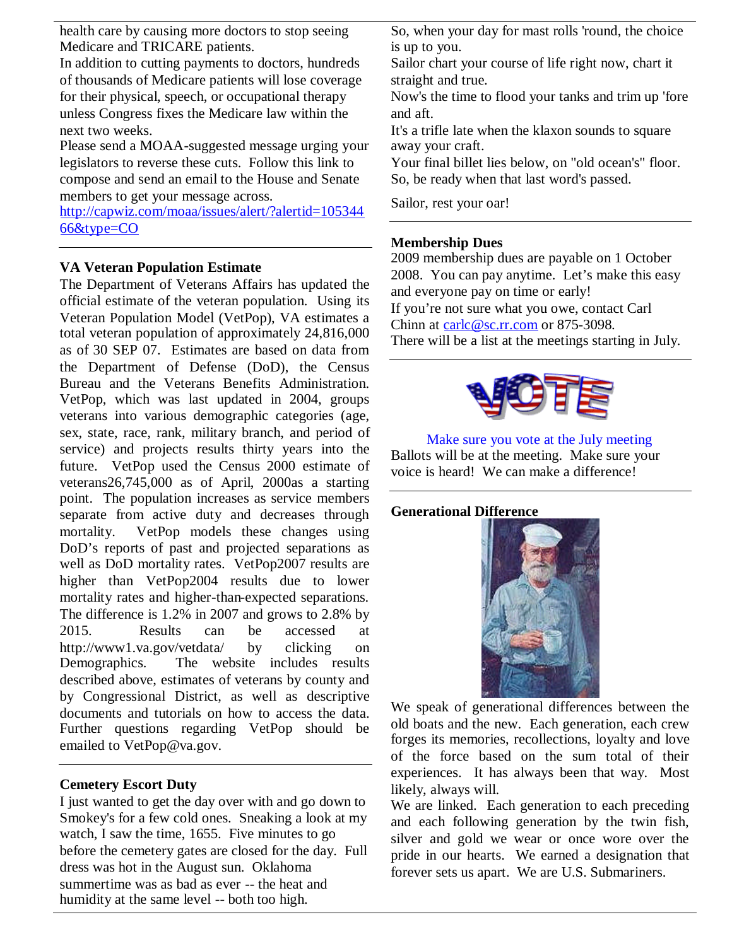health care by causing more doctors to stop seeing Medicare and TRICARE patients.

In addition to cutting payments to doctors, hundreds of thousands of Medicare patients will lose coverage for their physical, speech, or occupational therapy unless Congress fixes the Medicare law within the next two weeks.

Please send a MOAA-suggested message urging your legislators to reverse these cuts. Follow this link to compose and send an email to the House and Senate members to get your message across.

http://capwiz.com/moaa/issues/alert/?alertid=105344 66&type=CO

# **VA Veteran Population Estimate**

The Department of Veterans Affairs has updated the official estimate of the veteran population. Using its Veteran Population Model (VetPop), VA estimates a total veteran population of approximately 24,816,000 as of 30 SEP 07. Estimates are based on data from the Department of Defense (DoD), the Census Bureau and the Veterans Benefits Administration. VetPop, which was last updated in 2004, groups veterans into various demographic categories (age, sex, state, race, rank, military branch, and period of service) and projects results thirty years into the future. VetPop used the Census 2000 estimate of veterans26,745,000 as of April, 2000as a starting point. The population increases as service members separate from active duty and decreases through mortality. VetPop models these changes using DoD's reports of past and projected separations as well as DoD mortality rates. VetPop2007 results are higher than VetPop2004 results due to lower mortality rates and higher-than-expected separations. The difference is 1.2% in 2007 and grows to 2.8% by 2015. Results can be accessed at http://www1.va.gov/vetdata/ by clicking on Demographics. The website includes results described above, estimates of veterans by county and by Congressional District, as well as descriptive documents and tutorials on how to access the data. Further questions regarding VetPop should be emailed to VetPop@va.gov.

# **Cemetery Escort Duty**

I just wanted to get the day over with and go down to Smokey's for a few cold ones. Sneaking a look at my watch, I saw the time, 1655. Five minutes to go before the cemetery gates are closed for the day. Full dress was hot in the August sun. Oklahoma summertime was as bad as ever -- the heat and humidity at the same level -- both too high.

So, when your day for mast rolls 'round, the choice is up to you.

Sailor chart your course of life right now, chart it straight and true.

Now's the time to flood your tanks and trim up 'fore and aft.

It's a trifle late when the klaxon sounds to square away your craft.

Your final billet lies below, on "old ocean's" floor. So, be ready when that last word's passed.

Sailor, rest your oar!

# **Membership Dues**

2009 membership dues are payable on 1 October 2008. You can pay anytime. Let's make this easy and everyone pay on time or early! If you're not sure what you owe, contact Carl Chinn at carlc@sc.rr.com or 875-3098. There will be a list at the meetings starting in July.



Make sure you vote at the July meeting Ballots will be at the meeting. Make sure your voice is heard! We can make a difference!

# **Generational Difference**



We speak of generational differences between the old boats and the new. Each generation, each crew forges its memories, recollections, loyalty and love of the force based on the sum total of their experiences. It has always been that way. Most likely, always will.

We are linked. Each generation to each preceding and each following generation by the twin fish, silver and gold we wear or once wore over the pride in our hearts. We earned a designation that forever sets us apart. We are U.S. Submariners.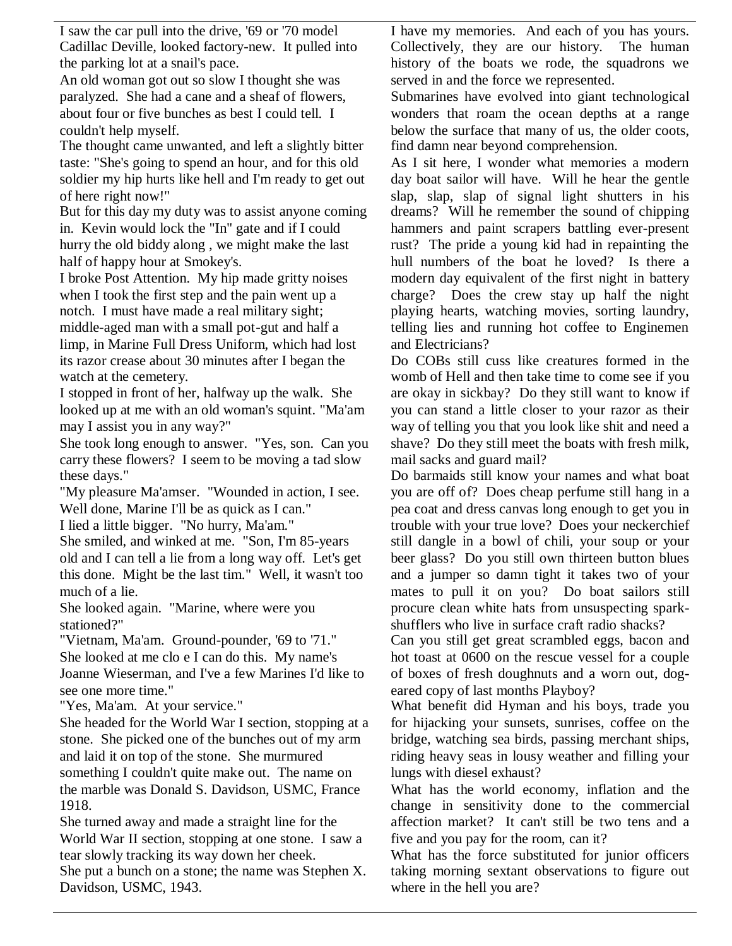I saw the car pull into the drive, '69 or '70 model Cadillac Deville, looked factory-new. It pulled into the parking lot at a snail's pace.

An old woman got out so slow I thought she was paralyzed. She had a cane and a sheaf of flowers, about four or five bunches as best I could tell. I couldn't help myself.

The thought came unwanted, and left a slightly bitter taste: "She's going to spend an hour, and for this old soldier my hip hurts like hell and I'm ready to get out of here right now!"

But for this day my duty was to assist anyone coming in. Kevin would lock the "In" gate and if I could hurry the old biddy along , we might make the last half of happy hour at Smokey's.

I broke Post Attention. My hip made gritty noises when I took the first step and the pain went up a notch. I must have made a real military sight; middle-aged man with a small pot-gut and half a limp, in Marine Full Dress Uniform, which had lost its razor crease about 30 minutes after I began the watch at the cemetery.

I stopped in front of her, halfway up the walk. She looked up at me with an old woman's squint. "Ma'am may I assist you in any way?"

She took long enough to answer. "Yes, son. Can you carry these flowers? I seem to be moving a tad slow these days."

"My pleasure Ma'amser. "Wounded in action, I see. Well done, Marine I'll be as quick as I can."

I lied a little bigger. "No hurry, Ma'am."

She smiled, and winked at me. "Son, I'm 85-years old and I can tell a lie from a long way off. Let's get this done. Might be the last tim." Well, it wasn't too much of a lie.

She looked again. "Marine, where were you stationed?"

"Vietnam, Ma'am. Ground-pounder, '69 to '71." She looked at me clo e I can do this. My name's Joanne Wieserman, and I've a few Marines I'd like to see one more time."

"Yes, Ma'am. At your service."

She headed for the World War I section, stopping at a stone. She picked one of the bunches out of my arm and laid it on top of the stone. She murmured something I couldn't quite make out. The name on the marble was Donald S. Davidson, USMC, France 1918.

She turned away and made a straight line for the World War II section, stopping at one stone. I saw a tear slowly tracking its way down her cheek. She put a bunch on a stone; the name was Stephen X. Davidson, USMC, 1943.

I have my memories. And each of you has yours. Collectively, they are our history. The human history of the boats we rode, the squadrons we served in and the force we represented.

Submarines have evolved into giant technological wonders that roam the ocean depths at a range below the surface that many of us, the older coots, find damn near beyond comprehension.

As I sit here, I wonder what memories a modern day boat sailor will have. Will he hear the gentle slap, slap, slap of signal light shutters in his dreams? Will he remember the sound of chipping hammers and paint scrapers battling ever-present rust? The pride a young kid had in repainting the hull numbers of the boat he loved? Is there a modern day equivalent of the first night in battery charge? Does the crew stay up half the night playing hearts, watching movies, sorting laundry, telling lies and running hot coffee to Enginemen and Electricians?

Do COBs still cuss like creatures formed in the womb of Hell and then take time to come see if you are okay in sickbay? Do they still want to know if you can stand a little closer to your razor as their way of telling you that you look like shit and need a shave? Do they still meet the boats with fresh milk, mail sacks and guard mail?

Do barmaids still know your names and what boat you are off of? Does cheap perfume still hang in a pea coat and dress canvas long enough to get you in trouble with your true love? Does your neckerchief still dangle in a bowl of chili, your soup or your beer glass? Do you still own thirteen button blues and a jumper so damn tight it takes two of your mates to pull it on you? Do boat sailors still procure clean white hats from unsuspecting sparkshufflers who live in surface craft radio shacks?

Can you still get great scrambled eggs, bacon and hot toast at 0600 on the rescue vessel for a couple of boxes of fresh doughnuts and a worn out, dogeared copy of last months Playboy?

What benefit did Hyman and his boys, trade you for hijacking your sunsets, sunrises, coffee on the bridge, watching sea birds, passing merchant ships, riding heavy seas in lousy weather and filling your lungs with diesel exhaust?

What has the world economy, inflation and the change in sensitivity done to the commercial affection market? It can't still be two tens and a five and you pay for the room, can it?

What has the force substituted for junior officers taking morning sextant observations to figure out where in the hell you are?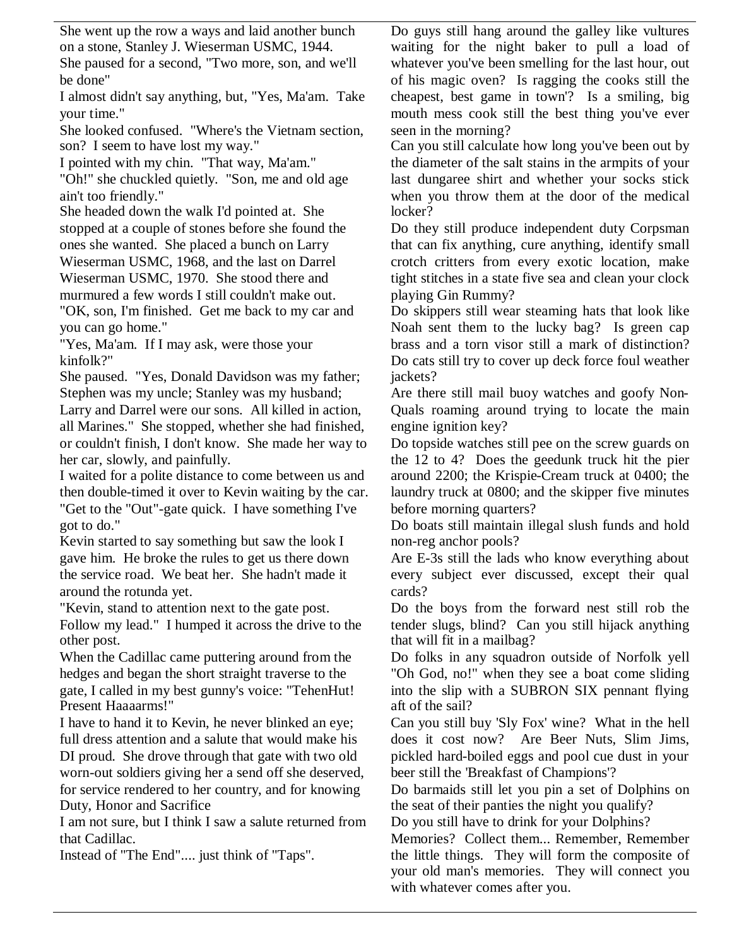She went up the row a ways and laid another bunch on a stone, Stanley J. Wieserman USMC, 1944.

She paused for a second, "Two more, son, and we'll be done"

I almost didn't say anything, but, "Yes, Ma'am. Take your time."

She looked confused. "Where's the Vietnam section, son? I seem to have lost my way."

I pointed with my chin. "That way, Ma'am."

"Oh!" she chuckled quietly. "Son, me and old age ain't too friendly."

She headed down the walk I'd pointed at. She stopped at a couple of stones before she found the ones she wanted. She placed a bunch on Larry Wieserman USMC, 1968, and the last on Darrel Wieserman USMC, 1970. She stood there and murmured a few words I still couldn't make out. "OK, son, I'm finished. Get me back to my car and

you can go home."

"Yes, Ma'am. If I may ask, were those your kinfolk?"

She paused. "Yes, Donald Davidson was my father; Stephen was my uncle; Stanley was my husband;

Larry and Darrel were our sons. All killed in action, all Marines." She stopped, whether she had finished, or couldn't finish, I don't know. She made her way to her car, slowly, and painfully.

I waited for a polite distance to come between us and then double-timed it over to Kevin waiting by the car. "Get to the "Out"-gate quick. I have something I've got to do."

Kevin started to say something but saw the look I gave him. He broke the rules to get us there down the service road. We beat her. She hadn't made it around the rotunda yet.

"Kevin, stand to attention next to the gate post.

Follow my lead." I humped it across the drive to the other post.

When the Cadillac came puttering around from the hedges and began the short straight traverse to the gate, I called in my best gunny's voice: "TehenHut! Present Haaaarms!"

I have to hand it to Kevin, he never blinked an eye; full dress attention and a salute that would make his DI proud. She drove through that gate with two old worn-out soldiers giving her a send off she deserved, for service rendered to her country, and for knowing

Duty, Honor and Sacrifice

I am not sure, but I think I saw a salute returned from that Cadillac.

Instead of "The End".... just think of "Taps".

Do guys still hang around the galley like vultures waiting for the night baker to pull a load of whatever you've been smelling for the last hour, out of his magic oven? Is ragging the cooks still the cheapest, best game in town'? Is a smiling, big mouth mess cook still the best thing you've ever seen in the morning?

Can you still calculate how long you've been out by the diameter of the salt stains in the armpits of your last dungaree shirt and whether your socks stick when you throw them at the door of the medical locker?

Do they still produce independent duty Corpsman that can fix anything, cure anything, identify small crotch critters from every exotic location, make tight stitches in a state five sea and clean your clock playing Gin Rummy?

Do skippers still wear steaming hats that look like Noah sent them to the lucky bag? Is green cap brass and a torn visor still a mark of distinction? Do cats still try to cover up deck force foul weather jackets?

Are there still mail buoy watches and goofy Non-Quals roaming around trying to locate the main engine ignition key?

Do topside watches still pee on the screw guards on the 12 to 4? Does the geedunk truck hit the pier around 2200; the Krispie-Cream truck at 0400; the laundry truck at 0800; and the skipper five minutes before morning quarters?

Do boats still maintain illegal slush funds and hold non-reg anchor pools?

Are E-3s still the lads who know everything about every subject ever discussed, except their qual cards?

Do the boys from the forward nest still rob the tender slugs, blind? Can you still hijack anything that will fit in a mailbag?

Do folks in any squadron outside of Norfolk yell "Oh God, no!" when they see a boat come sliding into the slip with a SUBRON SIX pennant flying aft of the sail?

Can you still buy 'Sly Fox' wine? What in the hell does it cost now? Are Beer Nuts, Slim Jims, pickled hard-boiled eggs and pool cue dust in your beer still the 'Breakfast of Champions'?

Do barmaids still let you pin a set of Dolphins on the seat of their panties the night you qualify?

Do you still have to drink for your Dolphins?

Memories? Collect them... Remember, Remember the little things. They will form the composite of your old man's memories. They will connect you with whatever comes after you.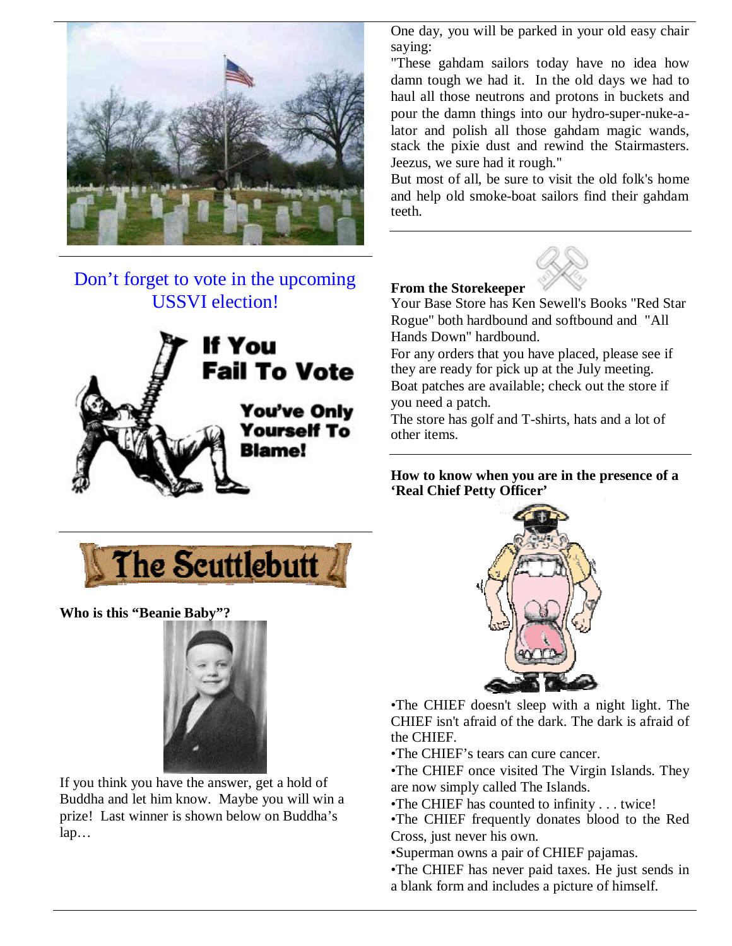

Don't forget to vote in the upcoming USSVI election!





"These gahdam sailors today have no idea how damn tough we had it. In the old days we had to haul all those neutrons and protons in buckets and pour the damn things into our hydro-super-nuke-alator and polish all those gahdam magic wands, stack the pixie dust and rewind the Stairmasters. Jeezus, we sure had it rough."

But most of all, be sure to visit the old folk's home and help old smoke-boat sailors find their gahdam teeth.



## **From the Storekeeper**

Your Base Store has Ken Sewell's Books "Red Star Rogue" both hardbound and softbound and "All Hands Down" hardbound.

For any orders that you have placed, please see if they are ready for pick up at the July meeting. Boat patches are available; check out the store if you need a patch.

The store has golf and T-shirts, hats and a lot of other items.

**How to know when you are in the presence of a 'Real Chief Petty Officer'**



### **Who is this "Beanie Baby"?**



If you think you have the answer, get a hold of Buddha and let him know. Maybe you will win a prize! Last winner is shown below on Buddha's lap…



•The CHIEF doesn't sleep with a night light. The CHIEF isn't afraid of the dark. The dark is afraid of the CHIEF.

•The CHIEF's tears can cure cancer.

•The CHIEF once visited The Virgin Islands. They are now simply called The Islands.

- •The CHIEF has counted to infinity . . . twice!
- •The CHIEF frequently donates blood to the Red Cross, just never his own.
- •Superman owns a pair of CHIEF pajamas.

•The CHIEF has never paid taxes. He just sends in a blank form and includes a picture of himself.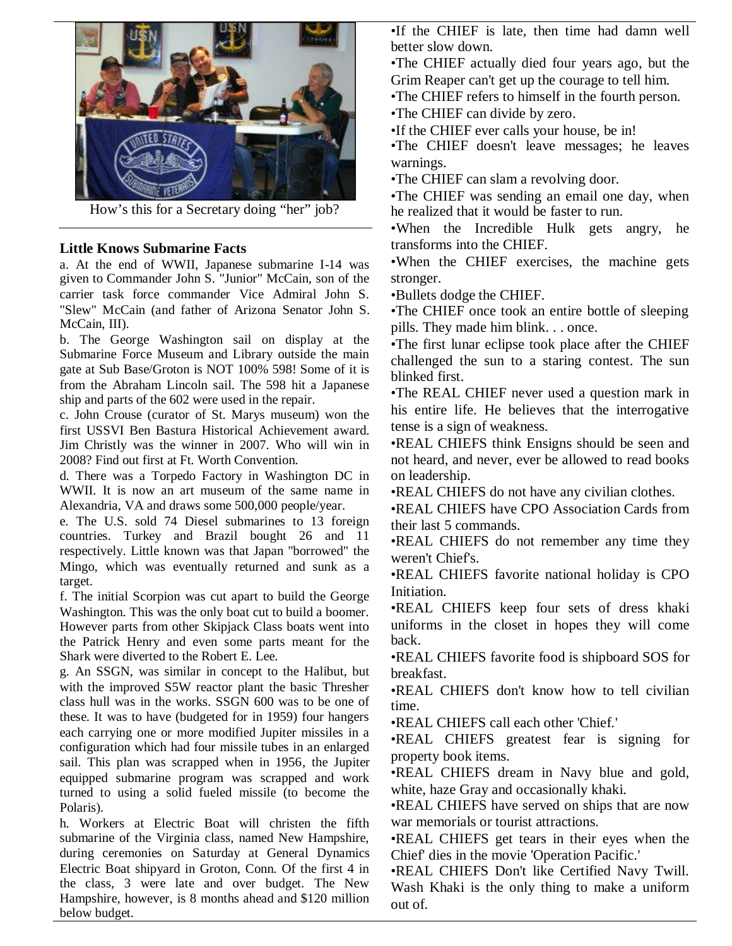

How's this for a Secretary doing "her" job?

#### **Little Knows Submarine Facts**

a. At the end of WWII, Japanese submarine I-14 was given to Commander John S. "Junior" McCain, son of the carrier task force commander Vice Admiral John S. "Slew" McCain (and father of Arizona Senator John S. McCain, III).

b. The George Washington sail on display at the Submarine Force Museum and Library outside the main gate at Sub Base/Groton is NOT 100% 598! Some of it is from the Abraham Lincoln sail. The 598 hit a Japanese ship and parts of the 602 were used in the repair.

c. John Crouse (curator of St. Marys museum) won the first USSVI Ben Bastura Historical Achievement award. Jim Christly was the winner in 2007. Who will win in 2008? Find out first at Ft. Worth Convention.

d. There was a Torpedo Factory in Washington DC in WWII. It is now an art museum of the same name in Alexandria, VA and draws some 500,000 people/year.

e. The U.S. sold 74 Diesel submarines to 13 foreign countries. Turkey and Brazil bought 26 and 11 respectively. Little known was that Japan "borrowed" the Mingo, which was eventually returned and sunk as a target.

f. The initial Scorpion was cut apart to build the George Washington. This was the only boat cut to build a boomer. However parts from other Skipjack Class boats went into the Patrick Henry and even some parts meant for the Shark were diverted to the Robert E. Lee.

g. An SSGN, was similar in concept to the Halibut, but with the improved S5W reactor plant the basic Thresher class hull was in the works. SSGN 600 was to be one of these. It was to have (budgeted for in 1959) four hangers each carrying one or more modified Jupiter missiles in a configuration which had four missile tubes in an enlarged sail. This plan was scrapped when in 1956, the Jupiter equipped submarine program was scrapped and work turned to using a solid fueled missile (to become the Polaris).

h. Workers at Electric Boat will christen the fifth submarine of the Virginia class, named New Hampshire, during ceremonies on Saturday at General Dynamics Electric Boat shipyard in Groton, Conn. Of the first 4 in the class, 3 were late and over budget. The New Hampshire, however, is 8 months ahead and \$120 million below budget.

•If the CHIEF is late, then time had damn well better slow down.

•The CHIEF actually died four years ago, but the Grim Reaper can't get up the courage to tell him.

•The CHIEF refers to himself in the fourth person.

•The CHIEF can divide by zero.

•If the CHIEF ever calls your house, be in!

•The CHIEF doesn't leave messages; he leaves warnings.

•The CHIEF can slam a revolving door.

•The CHIEF was sending an email one day, when he realized that it would be faster to run.

•When the Incredible Hulk gets angry, he transforms into the CHIEF.

•When the CHIEF exercises, the machine gets stronger.

•Bullets dodge the CHIEF.

•The CHIEF once took an entire bottle of sleeping pills. They made him blink. . . once.

•The first lunar eclipse took place after the CHIEF challenged the sun to a staring contest. The sun blinked first.

•The REAL CHIEF never used a question mark in his entire life. He believes that the interrogative tense is a sign of weakness.

•REAL CHIEFS think Ensigns should be seen and not heard, and never, ever be allowed to read books on leadership.

•REAL CHIEFS do not have any civilian clothes.

•REAL CHIEFS have CPO Association Cards from their last 5 commands.

•REAL CHIEFS do not remember any time they weren't Chief's.

•REAL CHIEFS favorite national holiday is CPO Initiation.

•REAL CHIEFS keep four sets of dress khaki uniforms in the closet in hopes they will come back.

•REAL CHIEFS favorite food is shipboard SOS for breakfast.

•REAL CHIEFS don't know how to tell civilian time.

•REAL CHIEFS call each other 'Chief.'

•REAL CHIEFS greatest fear is signing for property book items.

•REAL CHIEFS dream in Navy blue and gold, white, haze Gray and occasionally khaki.

•REAL CHIEFS have served on ships that are now war memorials or tourist attractions.

•REAL CHIEFS get tears in their eyes when the Chief' dies in the movie 'Operation Pacific.'

•REAL CHIEFS Don't like Certified Navy Twill. Wash Khaki is the only thing to make a uniform out of.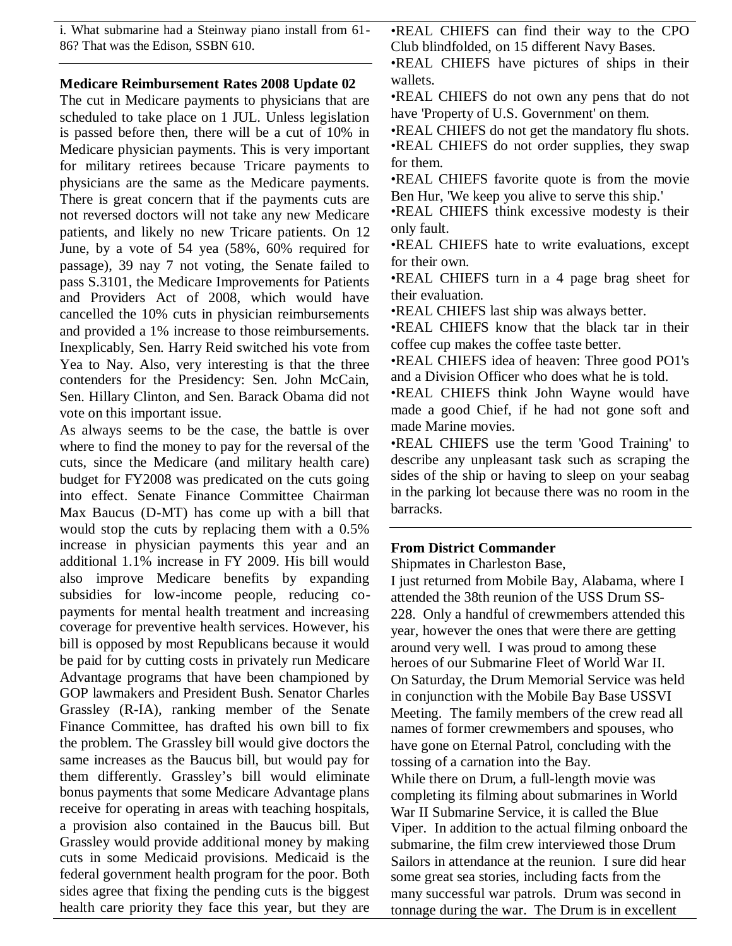i. What submarine had a Steinway piano install from 61- 86? That was the Edison, SSBN 610.

#### **Medicare Reimbursement Rates 2008 Update 02**

The cut in Medicare payments to physicians that are scheduled to take place on 1 JUL. Unless legislation is passed before then, there will be a cut of 10% in Medicare physician payments. This is very important for military retirees because Tricare payments to physicians are the same as the Medicare payments. There is great concern that if the payments cuts are not reversed doctors will not take any new Medicare patients, and likely no new Tricare patients. On 12 June, by a vote of 54 yea (58%, 60% required for passage), 39 nay 7 not voting, the Senate failed to pass S.3101, the Medicare Improvements for Patients and Providers Act of 2008, which would have cancelled the 10% cuts in physician reimbursements and provided a 1% increase to those reimbursements. Inexplicably, Sen. Harry Reid switched his vote from Yea to Nay. Also, very interesting is that the three contenders for the Presidency: Sen. John McCain, Sen. Hillary Clinton, and Sen. Barack Obama did not vote on this important issue.

As always seems to be the case, the battle is over where to find the money to pay for the reversal of the cuts, since the Medicare (and military health care) budget for FY2008 was predicated on the cuts going into effect. Senate Finance Committee Chairman Max Baucus (D-MT) has come up with a bill that would stop the cuts by replacing them with a 0.5% increase in physician payments this year and an additional 1.1% increase in FY 2009. His bill would also improve Medicare benefits by expanding subsidies for low-income people, reducing copayments for mental health treatment and increasing coverage for preventive health services. However, his bill is opposed by most Republicans because it would be paid for by cutting costs in privately run Medicare Advantage programs that have been championed by GOP lawmakers and President Bush. Senator Charles Grassley (R-IA), ranking member of the Senate Finance Committee, has drafted his own bill to fix the problem. The Grassley bill would give doctors the same increases as the Baucus bill, but would pay for them differently. Grassley's bill would eliminate bonus payments that some Medicare Advantage plans receive for operating in areas with teaching hospitals, a provision also contained in the Baucus bill. But Grassley would provide additional money by making cuts in some Medicaid provisions. Medicaid is the federal government health program for the poor. Both sides agree that fixing the pending cuts is the biggest health care priority they face this year, but they are

•REAL CHIEFS can find their way to the CPO Club blindfolded, on 15 different Navy Bases.

•REAL CHIEFS have pictures of ships in their wallets.

•REAL CHIEFS do not own any pens that do not have 'Property of U.S. Government' on them.

•REAL CHIEFS do not get the mandatory flu shots. •REAL CHIEFS do not order supplies, they swap for them.

•REAL CHIEFS favorite quote is from the movie Ben Hur, 'We keep you alive to serve this ship.'

•REAL CHIEFS think excessive modesty is their only fault.

•REAL CHIEFS hate to write evaluations, except for their own.

•REAL CHIEFS turn in a 4 page brag sheet for their evaluation.

•REAL CHIEFS last ship was always better.

•REAL CHIEFS know that the black tar in their coffee cup makes the coffee taste better.

•REAL CHIEFS idea of heaven: Three good PO1's and a Division Officer who does what he is told.

•REAL CHIEFS think John Wayne would have made a good Chief, if he had not gone soft and made Marine movies.

•REAL CHIEFS use the term 'Good Training' to describe any unpleasant task such as scraping the sides of the ship or having to sleep on your seabag in the parking lot because there was no room in the barracks.

### **From District Commander**

Shipmates in Charleston Base,

I just returned from Mobile Bay, Alabama, where I attended the 38th reunion of the USS Drum SS-228. Only a handful of crewmembers attended this year, however the ones that were there are getting around very well. I was proud to among these heroes of our Submarine Fleet of World War II. On Saturday, the Drum Memorial Service was held in conjunction with the Mobile Bay Base USSVI Meeting. The family members of the crew read all names of former crewmembers and spouses, who have gone on Eternal Patrol, concluding with the tossing of a carnation into the Bay. While there on Drum, a full-length movie was completing its filming about submarines in World War II Submarine Service, it is called the Blue Viper. In addition to the actual filming onboard the submarine, the film crew interviewed those Drum

Sailors in attendance at the reunion. I sure did hear some great sea stories, including facts from the many successful war patrols. Drum was second in tonnage during the war. The Drum is in excellent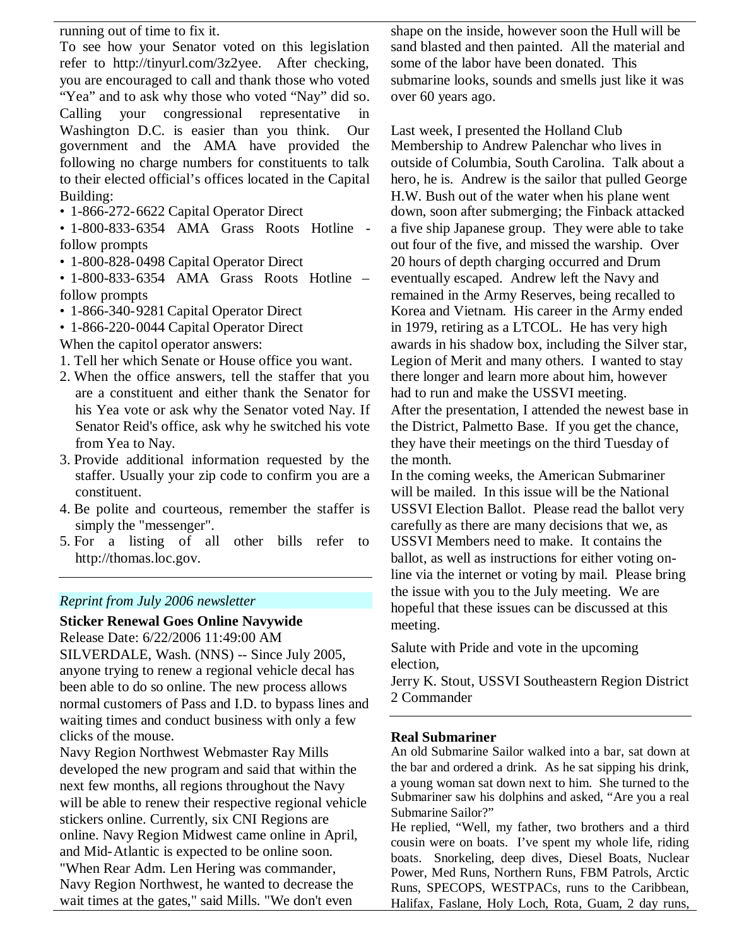running out of time to fix it.

To see how your Senator voted on this legislation refer to http://tinyurl.com/3z2yee. After checking, you are encouraged to call and thank those who voted "Yea" and to ask why those who voted "Nay" did so. Calling your congressional representative in Washington D.C. is easier than you think. Our government and the AMA have provided the following no charge numbers for constituents to talk to their elected official's offices located in the Capital Building:

• 1-866-272-6622 Capital Operator Direct

• 1-800-833-6354 AMA Grass Roots Hotline follow prompts

• 1-800-828-0498 Capital Operator Direct

• 1-800-833-6354 AMA Grass Roots Hotline – follow prompts

• 1-866-340-9281 Capital Operator Direct

• 1-866-220-0044 Capital Operator Direct

When the capitol operator answers:

- 1. Tell her which Senate or House office you want.
- 2. When the office answers, tell the staffer that you are a constituent and either thank the Senator for his Yea vote or ask why the Senator voted Nay. If Senator Reid's office, ask why he switched his vote from Yea to Nay.
- 3. Provide additional information requested by the staffer. Usually your zip code to confirm you are a constituent.
- 4. Be polite and courteous, remember the staffer is simply the "messenger".
- 5. For a listing of all other bills refer to http://thomas.loc.gov.

### *Reprint from July 2006 newsletter*

## **Sticker Renewal Goes Online Navywide**

Release Date: 6/22/2006 11:49:00 AM SILVERDALE, Wash. (NNS) -- Since July 2005, anyone trying to renew a regional vehicle decal has been able to do so online. The new process allows normal customers of Pass and I.D. to bypass lines and waiting times and conduct business with only a few clicks of the mouse.

Navy Region Northwest Webmaster Ray Mills developed the new program and said that within the next few months, all regions throughout the Navy will be able to renew their respective regional vehicle stickers online. Currently, six CNI Regions are online. Navy Region Midwest came online in April, and Mid-Atlantic is expected to be online soon. "When Rear Adm. Len Hering was commander, Navy Region Northwest, he wanted to decrease the

wait times at the gates," said Mills. "We don't even

shape on the inside, however soon the Hull will be sand blasted and then painted. All the material and some of the labor have been donated. This submarine looks, sounds and smells just like it was over 60 years ago.

Last week, I presented the Holland Club Membership to Andrew Palenchar who lives in outside of Columbia, South Carolina. Talk about a hero, he is. Andrew is the sailor that pulled George H.W. Bush out of the water when his plane went down, soon after submerging; the Finback attacked a five ship Japanese group. They were able to take out four of the five, and missed the warship. Over 20 hours of depth charging occurred and Drum eventually escaped. Andrew left the Navy and remained in the Army Reserves, being recalled to Korea and Vietnam. His career in the Army ended in 1979, retiring as a LTCOL. He has very high awards in his shadow box, including the Silver star, Legion of Merit and many others. I wanted to stay there longer and learn more about him, however had to run and make the USSVI meeting. After the presentation, I attended the newest base in the District, Palmetto Base. If you get the chance, they have their meetings on the third Tuesday of the month.

In the coming weeks, the American Submariner will be mailed. In this issue will be the National USSVI Election Ballot. Please read the ballot very carefully as there are many decisions that we, as USSVI Members need to make. It contains the ballot, as well as instructions for either voting online via the internet or voting by mail. Please bring the issue with you to the July meeting. We are hopeful that these issues can be discussed at this meeting.

Salute with Pride and vote in the upcoming election,

Jerry K. Stout, USSVI Southeastern Region District 2 Commander

#### **Real Submariner**

An old Submarine Sailor walked into a bar, sat down at the bar and ordered a drink. As he sat sipping his drink, a young woman sat down next to him. She turned to the Submariner saw his dolphins and asked, "Are you a real Submarine Sailor?"

He replied, "Well, my father, two brothers and a third cousin were on boats. I've spent my whole life, riding boats. Snorkeling, deep dives, Diesel Boats, Nuclear Power, Med Runs, Northern Runs, FBM Patrols, Arctic Runs, SPECOPS, WESTPACs, runs to the Caribbean, Halifax, Faslane, Holy Loch, Rota, Guam, 2 day runs,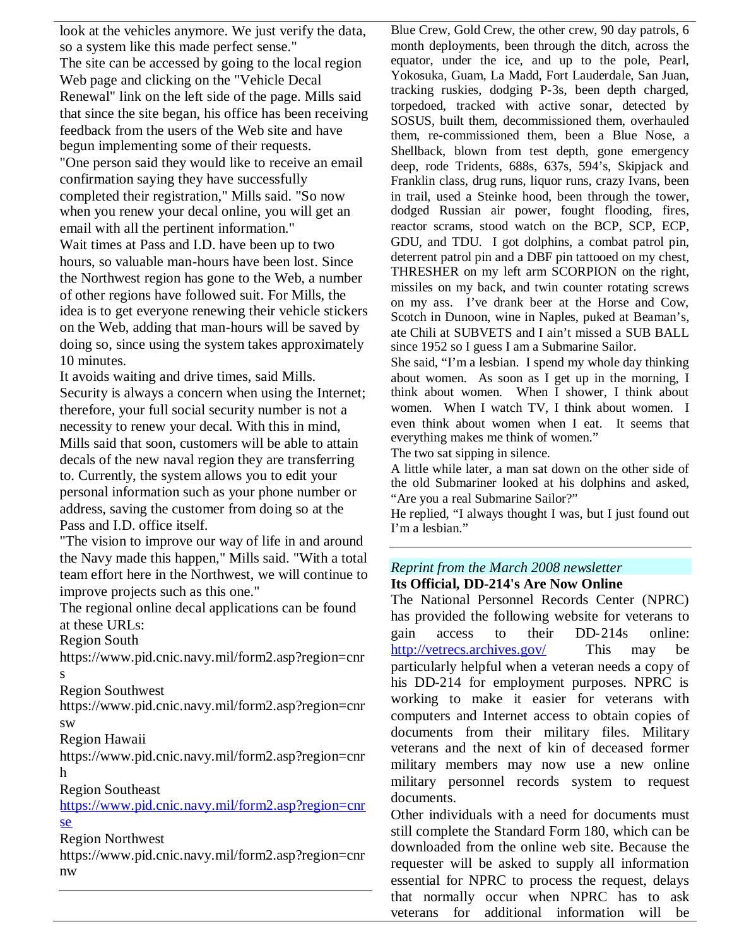look at the vehicles anymore. We just verify the data, so a system like this made perfect sense." The site can be accessed by going to the local region Web page and clicking on the "Vehicle Decal Renewal" link on the left side of the page. Mills said that since the site began, his office has been receiving feedback from the users of the Web site and have begun implementing some of their requests. "One person said they would like to receive an email confirmation saying they have successfully completed their registration," Mills said. "So now when you renew your decal online, you will get an email with all the pertinent information." Wait times at Pass and I.D. have been up to two hours, so valuable man-hours have been lost. Since the Northwest region has gone to the Web, a number of other regions have followed suit. For Mills, the idea is to get everyone renewing their vehicle stickers on the Web, adding that man-hours will be saved by doing so, since using the system takes approximately 10 minutes.

It avoids waiting and drive times, said Mills. Security is always a concern when using the Internet; therefore, your full social security number is not a necessity to renew your decal. With this in mind, Mills said that soon, customers will be able to attain decals of the new naval region they are transferring to. Currently, the system allows you to edit your personal information such as your phone number or address, saving the customer from doing so at the Pass and I.D. office itself.

"The vision to improve our way of life in and around the Navy made this happen," Mills said. "With a total team effort here in the Northwest, we will continue to improve projects such as this one."

The regional online decal applications can be found at these URLs:

Region South

https://www.pid.cnic.navy.mil/form2.asp?region=cnr s

Region Southwest

https://www.pid.cnic.navy.mil/form2.asp?region=cnr sw

Region Hawaii

https://www.pid.cnic.navy.mil/form2.asp?region=cnr h

Region Southeast

https://www.pid.cnic.navy.mil/form2.asp?region=cnr se

Region Northwest

https://www.pid.cnic.navy.mil/form2.asp?region=cnr nw

Blue Crew, Gold Crew, the other crew, 90 day patrols, 6 month deployments, been through the ditch, across the equator, under the ice, and up to the pole, Pearl, Yokosuka, Guam, La Madd, Fort Lauderdale, San Juan, tracking ruskies, dodging P-3s, been depth charged, torpedoed, tracked with active sonar, detected by SOSUS, built them, decommissioned them, overhauled them, re-commissioned them, been a Blue Nose, a Shellback, blown from test depth, gone emergency deep, rode Tridents, 688s, 637s, 594's, Skipjack and Franklin class, drug runs, liquor runs, crazy Ivans, been in trail, used a Steinke hood, been through the tower, dodged Russian air power, fought flooding, fires, reactor scrams, stood watch on the BCP, SCP, ECP, GDU, and TDU. I got dolphins, a combat patrol pin, deterrent patrol pin and a DBF pin tattooed on my chest, THRESHER on my left arm SCORPION on the right, missiles on my back, and twin counter rotating screws on my ass. I've drank beer at the Horse and Cow, Scotch in Dunoon, wine in Naples, puked at Beaman's, ate Chili at SUBVETS and I ain't missed a SUB BALL since 1952 so I guess I am a Submarine Sailor.

She said, "I'm a lesbian. I spend my whole day thinking about women. As soon as I get up in the morning, I think about women. When I shower, I think about women. When I watch TV, I think about women. I even think about women when I eat. It seems that everything makes me think of women."

The two sat sipping in silence.

A little while later, a man sat down on the other side of the old Submariner looked at his dolphins and asked, "Are you a real Submarine Sailor?"

He replied, "I always thought I was, but I just found out I'm a lesbian."

## *Reprint from the March 2008 newsletter* **Its Official, DD-214's Are Now Online**

The National Personnel Records Center (NPRC) has provided the following website for veterans to gain access to their DD-214s online: http://vetrecs.archives.gov/ This may be particularly helpful when a veteran needs a copy of his DD-214 for employment purposes. NPRC is working to make it easier for veterans with computers and Internet access to obtain copies of documents from their military files. Military veterans and the next of kin of deceased former military members may now use a new online military personnel records system to request documents.

Other individuals with a need for documents must still complete the Standard Form 180, which can be downloaded from the online web site. Because the requester will be asked to supply all information essential for NPRC to process the request, delays that normally occur when NPRC has to ask veterans for additional information will be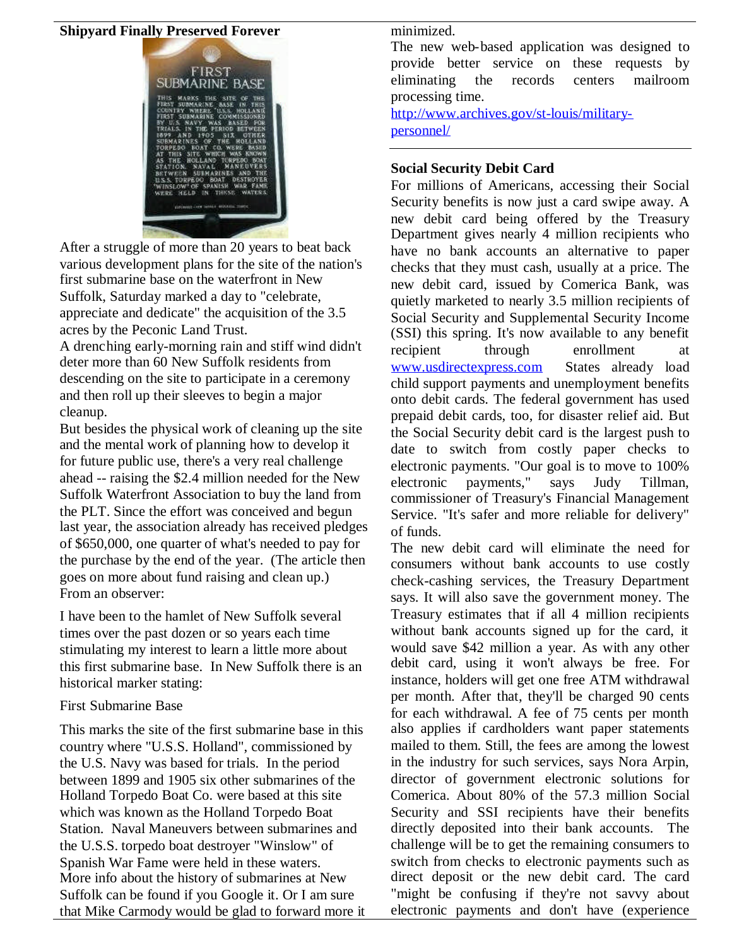#### **Shipyard Finally Preserved Forever**



After a struggle of more than 20 years to beat back various development plans for the site of the nation's first submarine base on the waterfront in New Suffolk, Saturday marked a day to "celebrate, appreciate and dedicate" the acquisition of the 3.5 acres by the Peconic Land Trust.

A drenching early-morning rain and stiff wind didn't deter more than 60 New Suffolk residents from descending on the site to participate in a ceremony and then roll up their sleeves to begin a major cleanup.

But besides the physical work of cleaning up the site and the mental work of planning how to develop it for future public use, there's a very real challenge ahead -- raising the \$2.4 million needed for the New Suffolk Waterfront Association to buy the land from the PLT. Since the effort was conceived and begun last year, the association already has received pledges of \$650,000, one quarter of what's needed to pay for the purchase by the end of the year. (The article then goes on more about fund raising and clean up.) From an observer:

I have been to the hamlet of New Suffolk several times over the past dozen or so years each time stimulating my interest to learn a little more about this first submarine base. In New Suffolk there is an historical marker stating:

### First Submarine Base

This marks the site of the first submarine base in this country where "U.S.S. Holland", commissioned by the U.S. Navy was based for trials. In the period between 1899 and 1905 six other submarines of the Holland Torpedo Boat Co. were based at this site which was known as the Holland Torpedo Boat Station. Naval Maneuvers between submarines and the U.S.S. torpedo boat destroyer "Winslow" of Spanish War Fame were held in these waters. More info about the history of submarines at New Suffolk can be found if you Google it. Or I am sure that Mike Carmody would be glad to forward more it minimized.

The new web-based application was designed to provide better service on these requests by eliminating the records centers mailroom processing time.

http://www.archives.gov/st-louis/militarypersonnel/

## **Social Security Debit Card**

For millions of Americans, accessing their Social Security benefits is now just a card swipe away. A new debit card being offered by the Treasury Department gives nearly 4 million recipients who have no bank accounts an alternative to paper checks that they must cash, usually at a price. The new debit card, issued by Comerica Bank, was quietly marketed to nearly 3.5 million recipients of Social Security and Supplemental Security Income (SSI) this spring. It's now available to any benefit recipient through enrollment at www.usdirectexpress.com States already load child support payments and unemployment benefits onto debit cards. The federal government has used prepaid debit cards, too, for disaster relief aid. But the Social Security debit card is the largest push to date to switch from costly paper checks to electronic payments. "Our goal is to move to 100% electronic payments," says Judy Tillman, commissioner of Treasury's Financial Management Service. "It's safer and more reliable for delivery" of funds.

The new debit card will eliminate the need for consumers without bank accounts to use costly check-cashing services, the Treasury Department says. It will also save the government money. The Treasury estimates that if all 4 million recipients without bank accounts signed up for the card, it would save \$42 million a year. As with any other debit card, using it won't always be free. For instance, holders will get one free ATM withdrawal per month. After that, they'll be charged 90 cents for each withdrawal. A fee of 75 cents per month also applies if cardholders want paper statements mailed to them. Still, the fees are among the lowest in the industry for such services, says Nora Arpin, director of government electronic solutions for Comerica. About 80% of the 57.3 million Social Security and SSI recipients have their benefits directly deposited into their bank accounts. The challenge will be to get the remaining consumers to switch from checks to electronic payments such as direct deposit or the new debit card. The card "might be confusing if they're not savvy about electronic payments and don't have (experience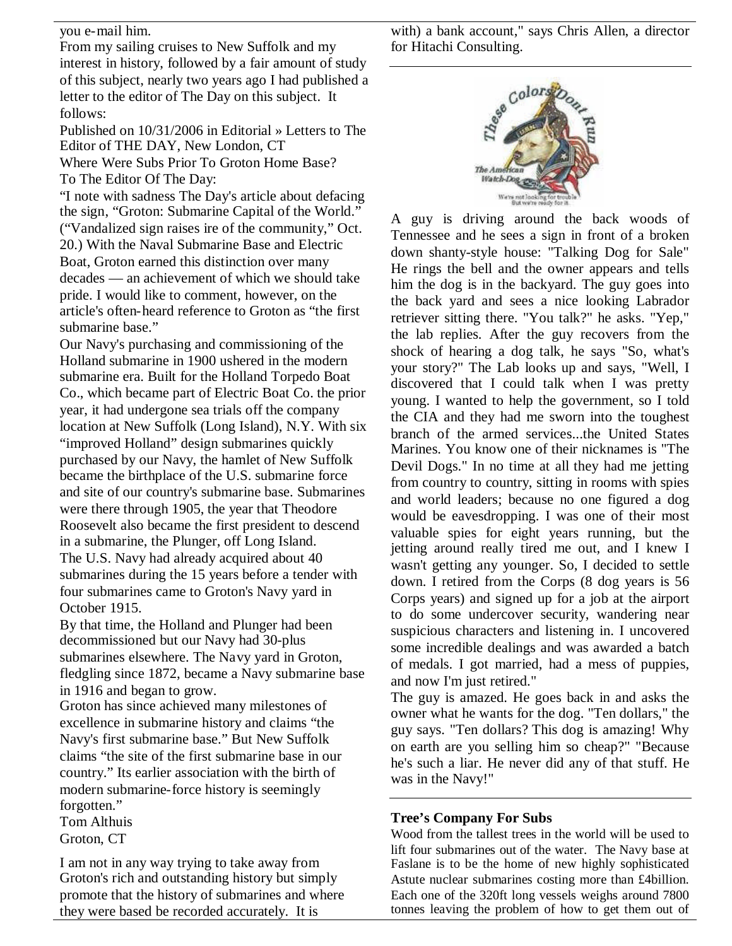you e-mail him.

From my sailing cruises to New Suffolk and my interest in history, followed by a fair amount of study of this subject, nearly two years ago I had published a letter to the editor of The Day on this subject. It follows:

Published on 10/31/2006 in Editorial » Letters to The Editor of THE DAY, New London, CT

Where Were Subs Prior To Groton Home Base? To The Editor Of The Day:

"I note with sadness The Day's article about defacing the sign, "Groton: Submarine Capital of the World." ("Vandalized sign raises ire of the community," Oct. 20.) With the Naval Submarine Base and Electric Boat, Groton earned this distinction over many decades — an achievement of which we should take pride. I would like to comment, however, on the article's often-heard reference to Groton as "the first submarine base."

Our Navy's purchasing and commissioning of the Holland submarine in 1900 ushered in the modern submarine era. Built for the Holland Torpedo Boat Co., which became part of Electric Boat Co. the prior year, it had undergone sea trials off the company location at New Suffolk (Long Island), N.Y. With six "improved Holland" design submarines quickly purchased by our Navy, the hamlet of New Suffolk became the birthplace of the U.S. submarine force and site of our country's submarine base. Submarines were there through 1905, the year that Theodore Roosevelt also became the first president to descend in a submarine, the Plunger, off Long Island. The U.S. Navy had already acquired about 40 submarines during the 15 years before a tender with four submarines came to Groton's Navy yard in October 1915.

By that time, the Holland and Plunger had been decommissioned but our Navy had 30-plus submarines elsewhere. The Navy yard in Groton, fledgling since 1872, became a Navy submarine base in 1916 and began to grow.

Groton has since achieved many milestones of excellence in submarine history and claims "the Navy's first submarine base." But New Suffolk claims "the site of the first submarine base in our country." Its earlier association with the birth of modern submarine-force history is seemingly forgotten."

Tom Althuis Groton, CT

I am not in any way trying to take away from Groton's rich and outstanding history but simply promote that the history of submarines and where they were based be recorded accurately. It is

with) a bank account," says Chris Allen, a director for Hitachi Consulting.



A guy is driving around the back woods of Tennessee and he sees a sign in front of a broken down shanty-style house: "Talking Dog for Sale" He rings the bell and the owner appears and tells him the dog is in the backyard. The guy goes into the back yard and sees a nice looking Labrador retriever sitting there. "You talk?" he asks. "Yep," the lab replies. After the guy recovers from the shock of hearing a dog talk, he says "So, what's your story?" The Lab looks up and says, "Well, I discovered that I could talk when I was pretty young. I wanted to help the government, so I told the CIA and they had me sworn into the toughest branch of the armed services...the United States Marines. You know one of their nicknames is "The Devil Dogs." In no time at all they had me jetting from country to country, sitting in rooms with spies and world leaders; because no one figured a dog would be eavesdropping. I was one of their most valuable spies for eight years running, but the jetting around really tired me out, and I knew I wasn't getting any younger. So, I decided to settle down. I retired from the Corps (8 dog years is 56 Corps years) and signed up for a job at the airport to do some undercover security, wandering near suspicious characters and listening in. I uncovered some incredible dealings and was awarded a batch of medals. I got married, had a mess of puppies, and now I'm just retired."

The guy is amazed. He goes back in and asks the owner what he wants for the dog. "Ten dollars," the guy says. "Ten dollars? This dog is amazing! Why on earth are you selling him so cheap?" "Because he's such a liar. He never did any of that stuff. He was in the Navy!"

### **Tree's Company For Subs**

Wood from the tallest trees in the world will be used to lift four submarines out of the water. The Navy base at Faslane is to be the home of new highly sophisticated Astute nuclear submarines costing more than £4billion. Each one of the 320ft long vessels weighs around 7800 tonnes leaving the problem of how to get them out of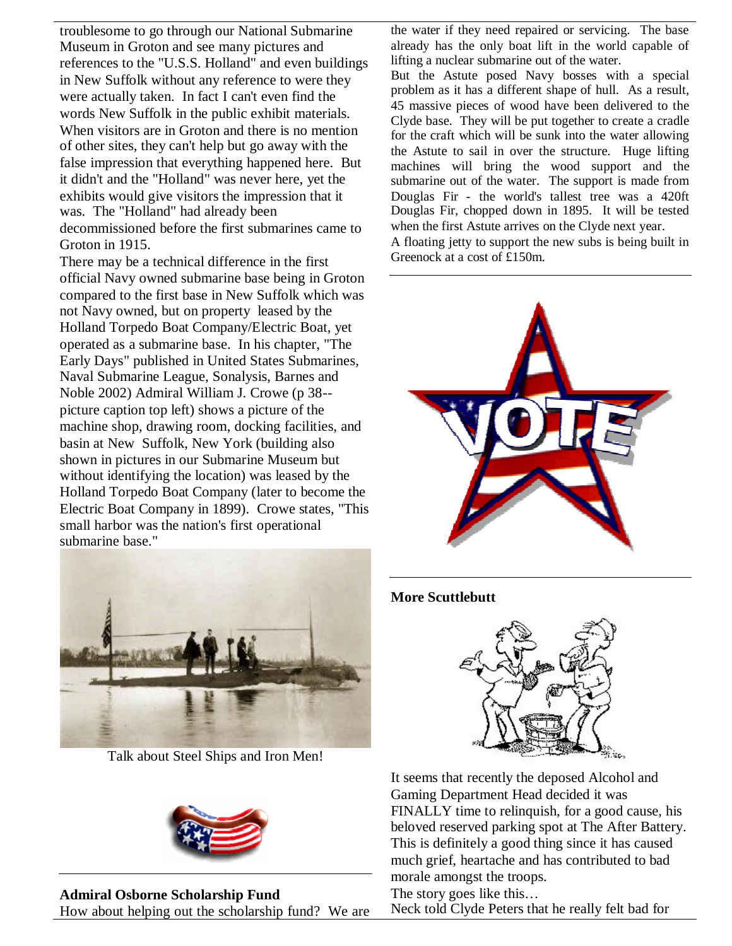troublesome to go through our National Submarine Museum in Groton and see many pictures and references to the "U.S.S. Holland" and even buildings in New Suffolk without any reference to were they were actually taken. In fact I can't even find the words New Suffolk in the public exhibit materials. When visitors are in Groton and there is no mention of other sites, they can't help but go away with the false impression that everything happened here. But it didn't and the "Holland" was never here, yet the exhibits would give visitors the impression that it was. The "Holland" had already been decommissioned before the first submarines came to Groton in 1915.

There may be a technical difference in the first official Navy owned submarine base being in Groton compared to the first base in New Suffolk which was not Navy owned, but on property leased by the Holland Torpedo Boat Company/Electric Boat, yet operated as a submarine base. In his chapter, "The Early Days" published in United States Submarines, Naval Submarine League, Sonalysis, Barnes and Noble 2002) Admiral William J. Crowe (p 38- picture caption top left) shows a picture of the machine shop, drawing room, docking facilities, and basin at New Suffolk, New York (building also shown in pictures in our Submarine Museum but without identifying the location) was leased by the Holland Torpedo Boat Company (later to become the Electric Boat Company in 1899). Crowe states, "This small harbor was the nation's first operational submarine base."



Talk about Steel Ships and Iron Men!



# **Admiral Osborne Scholarship Fund**

How about helping out the scholarship fund? We are

the water if they need repaired or servicing. The base already has the only boat lift in the world capable of lifting a nuclear submarine out of the water.

But the Astute posed Navy bosses with a special problem as it has a different shape of hull. As a result, 45 massive pieces of wood have been delivered to the Clyde base. They will be put together to create a cradle for the craft which will be sunk into the water allowing the Astute to sail in over the structure. Huge lifting machines will bring the wood support and the submarine out of the water. The support is made from Douglas Fir - the world's tallest tree was a 420ft Douglas Fir, chopped down in 1895. It will be tested when the first Astute arrives on the Clyde next year.

A floating jetty to support the new subs is being built in Greenock at a cost of £150m.



### **More Scuttlebutt**



It seems that recently the deposed Alcohol and Gaming Department Head decided it was FINALLY time to relinquish, for a good cause, his beloved reserved parking spot at The After Battery. This is definitely a good thing since it has caused much grief, heartache and has contributed to bad morale amongst the troops.

The story goes like this… Neck told Clyde Peters that he really felt bad for